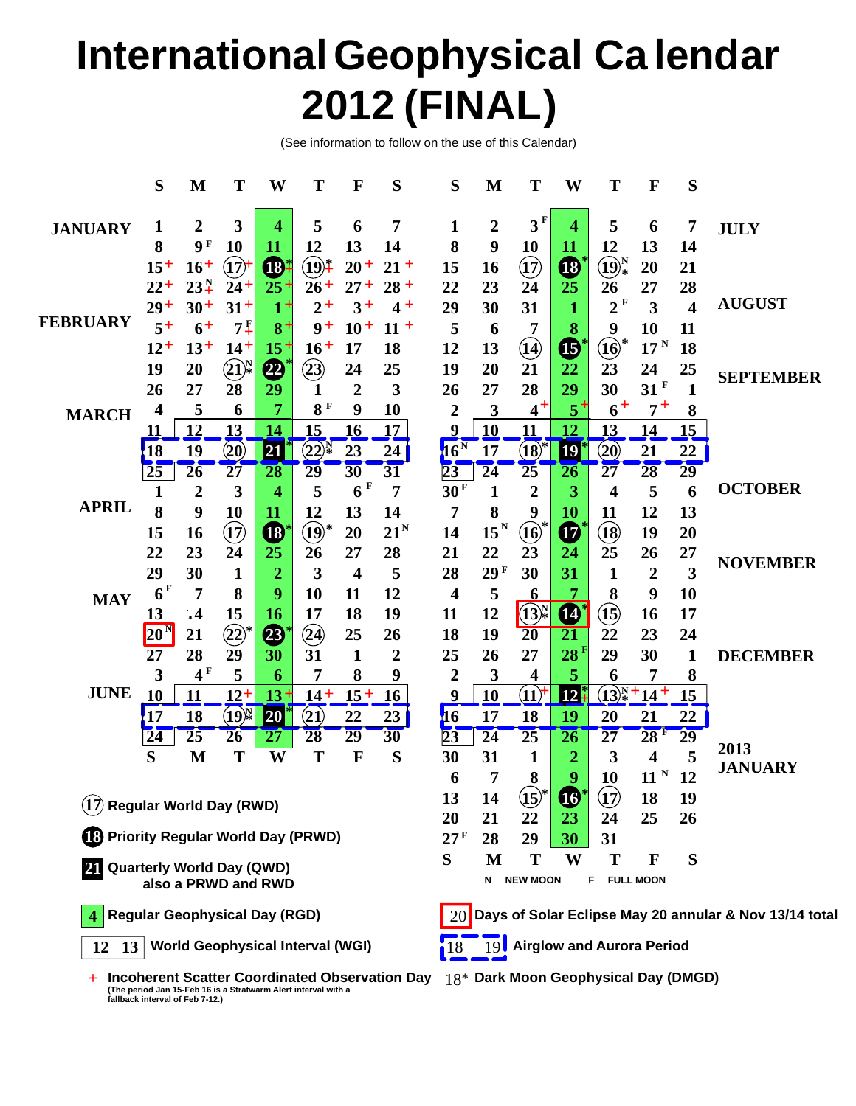# **International Geophysical Ca lendar 2012 (FINAL)**

(See information to follow on the use of this Calendar)

|                                                  | S                                                        | M                | T                                           | W                        | T                                 | $\mathbf F$             | S                    | S                | M               | T                                                    | W                                      | T                                      | $\mathbf{F}$            | S                       |                                                        |  |  |
|--------------------------------------------------|----------------------------------------------------------|------------------|---------------------------------------------|--------------------------|-----------------------------------|-------------------------|----------------------|------------------|-----------------|------------------------------------------------------|----------------------------------------|----------------------------------------|-------------------------|-------------------------|--------------------------------------------------------|--|--|
| <b>JANUARY</b>                                   | 1                                                        | $\boldsymbol{2}$ | 3                                           | 4                        | 5                                 | 6                       | 7                    | 1                | 2               | 3 <sup>F</sup>                                       | 4                                      | 5                                      | 6                       | 7                       | <b>JULY</b>                                            |  |  |
|                                                  | 8                                                        | <b>9F</b>        | 10                                          | 11                       | 12                                | 13                      | 14                   | 8                | 9               | 10                                                   | 11                                     | 12                                     | 13                      | 14                      |                                                        |  |  |
|                                                  | $15+$                                                    | $16+$            | (17)                                        | <b>B</b> ‡               | $\widehat{(19)^{*}}$              | $20 +$                  | $21 +$               | 15               | 16              | $\textcircled{\textbf{17}}$                          | $\mathbf{G}$                           | $\bigoplus_{\ast}^{N}$                 | 20                      | 21                      |                                                        |  |  |
|                                                  | $22 +$                                                   | $23_{+}^{N}$     | $24 +$                                      | $25 +$                   | $26 +$                            | $27 +$                  | $28 +$               | 22               | 23              | 24                                                   | 25                                     | 26                                     | 27                      | 28                      |                                                        |  |  |
|                                                  | $29+$                                                    | $30+$            | $31+$                                       | $1+$                     | $2+$                              | $3+$                    | $4+$                 | 29               | 30              | 31                                                   |                                        | 2 F                                    | 3                       | $\overline{\mathbf{4}}$ | <b>AUGUST</b>                                          |  |  |
| <b>FEBRUARY</b>                                  | $5+$                                                     | $6+$             | $7\frac{F}{4}$                              | $8+$                     | $9+$                              | $10+$                   | $11 +$               | 5                | 6               | 7                                                    | 8                                      | 9                                      | 10                      | 11                      |                                                        |  |  |
|                                                  | $12^{+}$                                                 | $13+$            | $14^+$                                      | $15+$                    | $16+$                             | 17                      | 18                   | 12               | 13              | $\mathbf{u}$                                         | $\mathbf{\Phi}$                        | $\widehat{\mathbf{10}}$                | $17^{\mathrm{N}}$       | 18                      |                                                        |  |  |
|                                                  | 19                                                       | 20               | $\bigcircled{21}\!\bigcirc_\ast^\mathrm{N}$ | $\boldsymbol{\varOmega}$ | $\left( 23\right)$                | 24                      | 25                   | 19               | 20              | 21                                                   | 22                                     | 23                                     | 24                      | 25                      | <b>SEPTEMBER</b>                                       |  |  |
|                                                  | 26                                                       | 27               | 28                                          | 29                       | 1                                 | $\overline{2}$          | 3                    | 26               | 27              | 28                                                   | 29                                     | 30                                     | $31$ <sup>F</sup>       | 1                       |                                                        |  |  |
| <b>MARCH</b>                                     | 4                                                        | 5                | 6                                           | 7                        | 8F                                | 9                       | 10                   | $\overline{2}$   | 3               | $4^+$                                                | $5^+$                                  | $6+$                                   | $7^+$                   | 8                       |                                                        |  |  |
|                                                  | 11                                                       | 12               | 13                                          | 14                       | 15                                | 16                      | 17                   | 9                | 10              | 11                                                   | 12                                     | 13                                     | 14                      | 15                      |                                                        |  |  |
|                                                  | <b>18</b>                                                | 19               | $\left( 20\right)$                          | 21                       | $(22)^{\mathbb N}$                | 23                      | 24                   | 16 <sup>N</sup>  | 17              | $({\bf 18})$                                         | <b>19</b>                              | $\left( 20\right)$                     | 21                      | 22                      |                                                        |  |  |
|                                                  | $2\overline{5}$                                          | $\overline{26}$  | $\overline{27}$                             | $\overline{28}$          | 29                                | $\overline{30}$         | 31                   | $\overline{23}$  | $\overline{24}$ | $\overline{25}$                                      | <b>26</b>                              | 27                                     | 28                      | $\overline{29}$         | <b>OCTOBER</b>                                         |  |  |
| <b>APRIL</b>                                     |                                                          | 2                | 3                                           | 4                        | 5                                 | 6 F                     | 7                    | 30 <sup>F</sup>  | 1               | $\overline{2}$                                       | $\overline{\mathbf{3}}$                | 4                                      | 5                       | 6                       |                                                        |  |  |
|                                                  | 8                                                        | 9                | 10                                          | 11                       | 12                                | 13                      | 14                   | 7                | 8               | 9                                                    | <b>10</b>                              | 11                                     | 12                      | 13                      |                                                        |  |  |
|                                                  | 15                                                       | 16               | $\textcircled{\small{1}}$                   | $\bf \Phi$               | $\textcircled{\scriptsize{19}}^*$ | 20                      | 21 <sup>N</sup>      | 14               | $15^N$          | $\widehat{\mathbf{10}}$                              | $\boldsymbol{\Phi}$                    | $\circled{13}$                         | 19                      | 20                      |                                                        |  |  |
|                                                  | 22                                                       | 23               | 24                                          | 25                       | 26                                | 27                      | 28                   | 21               | 22              | 23                                                   | 24                                     | 25                                     | 26                      | 27                      | <b>NOVEMBER</b>                                        |  |  |
|                                                  | 29<br>6 <sup>F</sup>                                     | 30               | $\mathbf{1}$                                | $\overline{2}$<br>9      | 3                                 | $\overline{\mathbf{4}}$ | 5                    | 28               | 29F             | 30                                                   | 31<br>7                                | 1                                      | $\boldsymbol{2}$        | 3                       |                                                        |  |  |
| <b>MAY</b>                                       |                                                          | 7                | 8                                           |                          | 10                                | 11<br>18                | 12<br>19             | 4                | 5               | <u>6</u>                                             |                                        | 8                                      | 9                       | 10                      |                                                        |  |  |
|                                                  | 13                                                       | $\cdot$ 4        | 15                                          | 16                       | 17                                | 25                      |                      | 11<br>18         | 12<br>19        | $\left( \widehat{13}\right) _{*}^{\mathrm{N}}$<br>20 | $\boldsymbol{\Phi}$<br>$\overline{21}$ | $\mathbf{15}$<br>22                    | 16<br>23                | 17<br>24                |                                                        |  |  |
|                                                  | 20 <sup>1</sup><br>27                                    | 21<br>28         | $\circled{2}$<br>29                         | 23<br>30                 | $\left( 2\right)$<br>31           | 1                       | 26<br>$\overline{2}$ | 25               | 26              | 27                                                   | 28 <sup>1</sup>                        | 29                                     | 30                      | 1                       | <b>DECEMBER</b>                                        |  |  |
| <b>JUNE</b>                                      | 3                                                        | 4 <sup>F</sup>   | 5                                           | 6                        | 7                                 | 8                       | 9                    | 2                | 3               | 4                                                    | 5                                      | 6                                      |                         | 8                       |                                                        |  |  |
|                                                  | 10                                                       | 11               | $12+$                                       | 13                       | $14+$                             | $15 +$                  | 16                   | 9                | 10              | $(11)^{\dagger}$                                     | 12                                     | $(13)^{N}_{*}$                         | $+14+$                  | 15                      |                                                        |  |  |
|                                                  | 17                                                       | 18               | (19)                                        | 20                       | $\bf(21)$                         | 22                      | 23                   | 16               | 17              | 18                                                   | 19                                     | 20                                     | 21                      | 22                      |                                                        |  |  |
|                                                  | 24                                                       | $\overline{25}$  | 26                                          | 27                       | 28                                | 29                      | 30                   | $\overline{23}$  | $\overline{24}$ | $\overline{25}$                                      | $\overline{26}$                        | 27                                     | 28F                     | $\overline{29}$         |                                                        |  |  |
|                                                  | S                                                        | M                | Т                                           | W                        | T                                 | F                       | S                    | 30               | 31              | 1                                                    | 2                                      | 3                                      | $\overline{\mathbf{4}}$ | 5                       | 2013                                                   |  |  |
|                                                  |                                                          |                  |                                             |                          |                                   |                         |                      | 6                | 7               | 8                                                    | Q                                      | 10                                     | 11 <sup>N</sup>         | 12                      | <b>JANUARY</b>                                         |  |  |
|                                                  |                                                          |                  |                                             |                          |                                   |                         |                      |                  | 14              | $\mathbf{(15)}$                                      | $\boldsymbol{\Phi}$                    | $\bf \overline{17}$                    | 18                      | 19                      |                                                        |  |  |
| $\left( 1\right)$ Regular World Day (RWD)        |                                                          |                  |                                             |                          |                                   |                         |                      |                  | 21              | 22                                                   | 23                                     | 24                                     | 25                      | 26                      |                                                        |  |  |
| <sup>6</sup> Priority Regular World Day (PRWD)   |                                                          |                  | 20<br>27 F                                  | 28                       | 29                                | 30                      | 31                   |                  |                 |                                                      |                                        |                                        |                         |                         |                                                        |  |  |
|                                                  |                                                          |                  |                                             | S                        | M                                 | T                       | W                    | Т                | F               | S                                                    |                                        |                                        |                         |                         |                                                        |  |  |
| 21 Quarterly World Day (QWD)                     |                                                          |                  |                                             | N                        | <b>NEW MOON</b>                   |                         | F                    | <b>FULL MOON</b> |                 |                                                      |                                        |                                        |                         |                         |                                                        |  |  |
|                                                  | <b>Regular Geophysical Day (RGD)</b>                     |                  |                                             |                          |                                   |                         |                      | <b>20</b>        |                 |                                                      |                                        |                                        |                         |                         | Days of Solar Eclipse May 20 annular & Nov 13/14 total |  |  |
|                                                  | <b>World Geophysical Interval (WGI)</b><br>$12 \quad 13$ |                  |                                             |                          |                                   |                         |                      |                  |                 |                                                      | 19 Airglow and Aurora Period           |                                        |                         |                         |                                                        |  |  |
| + Incoherent Scatter Coordinated Observation Day |                                                          |                  |                                             |                          |                                   |                         |                      |                  |                 |                                                      |                                        | $18*$ Dark Moon Geophysical Day (DMGD) |                         |                         |                                                        |  |  |

**+ Incoherent Scatter Coordinated Observation Day (The period Jan 15-Feb 16 is a Stratwarm Alert interval with a fallback interval of Feb 7-12.)**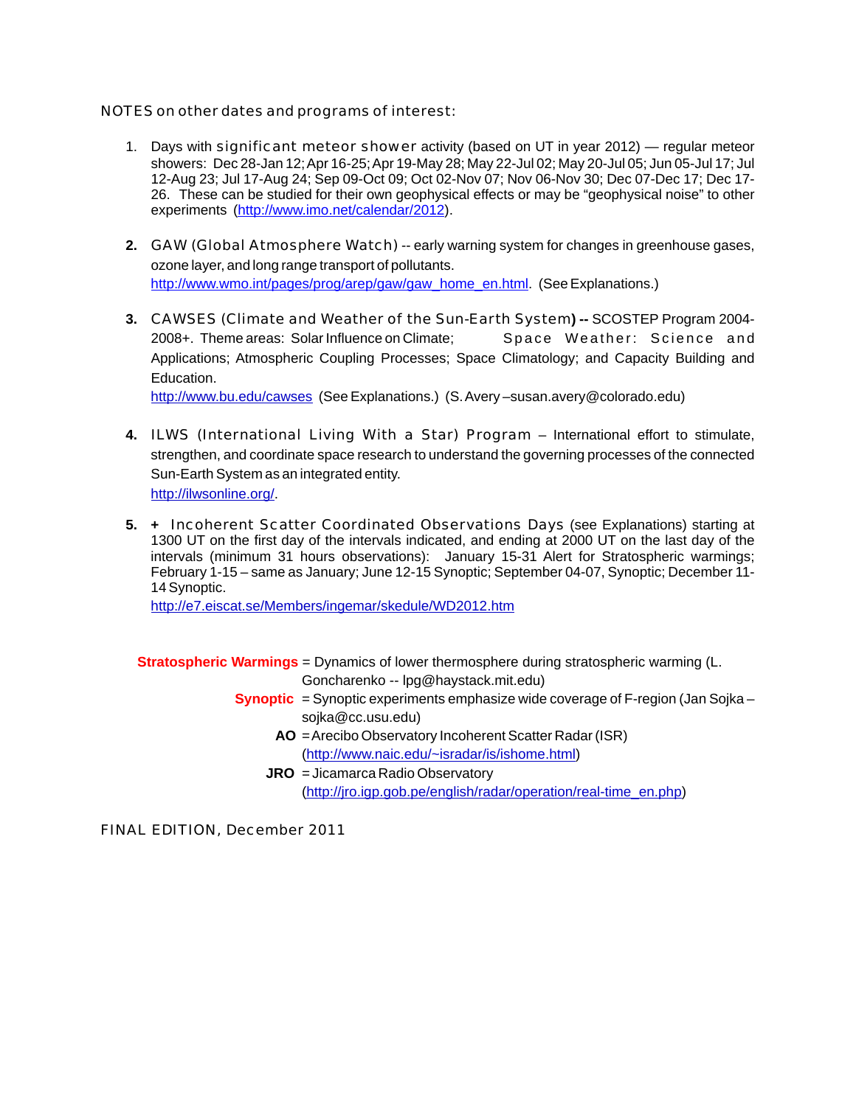NOTES on other dates and programs of interest:

- 1. Days with significant meteor shower activity (based on UT in year 2012) regular meteor showers: Dec 28-Jan 12; Apr 16-25; Apr 19-May 28; May 22-Jul 02; May 20-Jul 05; Jun 05-Jul 17; Jul 12-Aug 23; Jul 17-Aug 24; Sep 09-Oct 09; Oct 02-Nov 07; Nov 06-Nov 30; Dec 07-Dec 17; Dec 17- 26. These can be studied for their own geophysical effects or may be "geophysical noise" to other experiments (http://www.imo.net/calendar/2012).
- **2.** GAW (Global Atmosphere Watch) -- early warning system for changes in greenhouse gases, ozone layer, and long range transport of pollutants. http://www.wmo.int/pages/prog/arep/gaw/gaw\_home\_en.html (See Explanations.)
- **3.** CAWSES (Climate and Weather of the Sun-Earth System**) --** SCOSTEP Program 2004- 2008+. Theme areas: Solar Influence on Climate; Space Weather: Science and Applications; Atmospheric Coupling Processes; Space Climatology; and Capacity Building and Education.

<http://www.bu.edu/cawses> (See Explanations.) (S. Avery –susan.avery@colorado.edu)

- **4.** ILWS (International Living With a Star) Program International effort to stimulate, strengthen, and coordinate space research to understand the governing processes of the connected Sun-Earth System as an integrated entity. <http://ilwsonline.org/>.
- **5. +** Incoherent Scatter Coordinated Observations Days (see Explanations) starting at 1300 UT on the first day of the intervals indicated, and ending at 2000 UT on the last day of the intervals (minimum 31 hours observations): January 15-31 Alert for Stratospheric warmings; February 1-15 – same as January; June 12-15 Synoptic; September 04-07, Synoptic; December 11- 14 Synoptic.

<http://e7.eiscat.se/Members/ingemar/skedule/WD2012.htm>

**Stratospheric Warmings** = Dynamics of lower thermosphere during stratospheric warming (L.

Goncharenko -- lpg@haystack.mit.edu)

- **Synoptic** = Synoptic experiments emphasize wide coverage of F-region (Jan Sojka sojka@cc.usu.edu)
	- **AO** = Arecibo Observatory Incoherent Scatter Radar (ISR) (<http://www.naic.edu/~isradar/is/ishome.html>)
	- **JRO** = Jicamarca Radio Observatory ([http://jro.igp.gob.pe/english/radar/operation/real-time\\_en.php](http://jro.igp.gob.pe/english/radar/operation/real-time_en.php))

FINAL EDITION, December 2011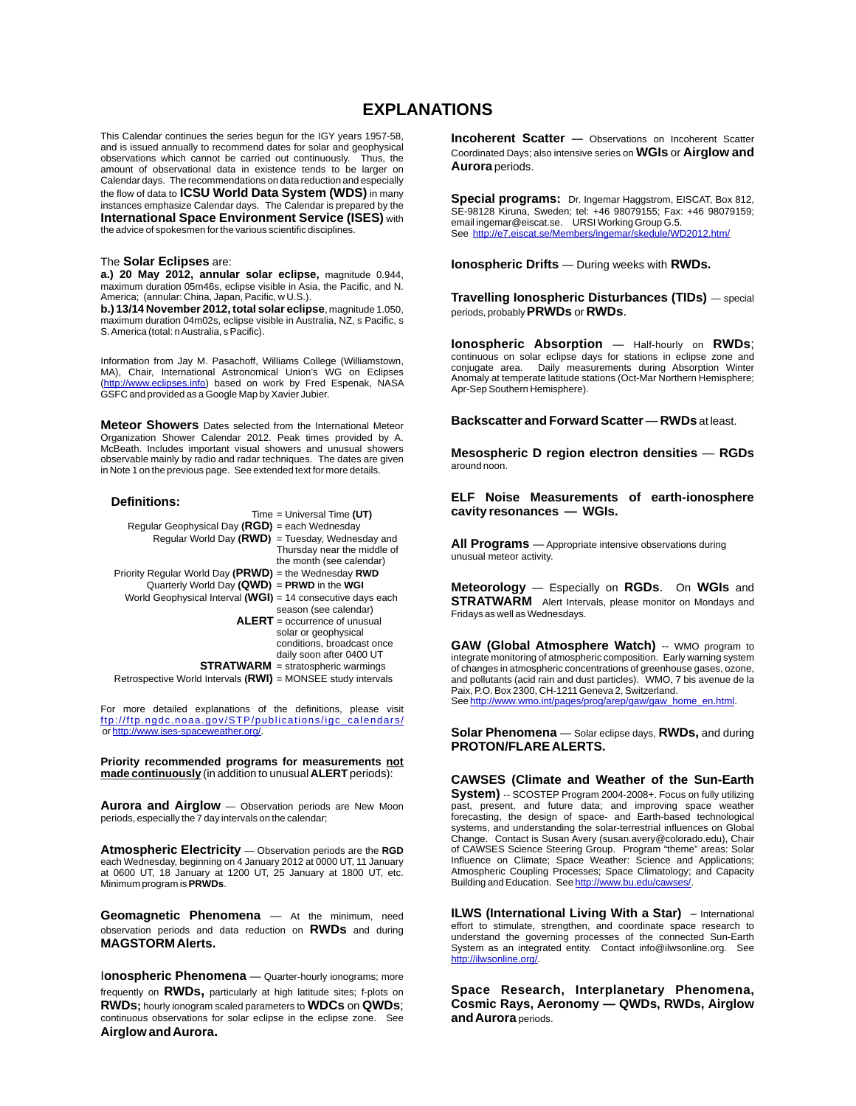## **EXPLANATIONS**

This Calendar continues the series begun for the IGY years 1957-58, and is issued annually to recommend dates for solar and geophysical observations which cannot be carried out continuously. Thus, the amount of observational data in existence tends to be larger on Calendar days. The recommendations on data reduction and especially the flow of data to **ICSU World Data System (WDS)** in many instances emphasize Calendar days. The Calendar is prepared by the **International Space Environment Service (ISES)** with the advice of spokesmen for the various scientific disciplines.

#### The **Solar Eclipses** are:

**a.) 20 May 2012, annular solar eclipse,** magnitude 0.944, maximum duration 05m46s, eclipse visible in Asia, the Pacific, and N. America; (annular: China, Japan, Pacific, w U.S.).

**b.) 13/14 November 2012, total solar eclipse**, magnitude 1.050, maximum duration 04m02s, eclipse visible in Australia, NZ, s Pacific, s S. America (total: n Australia, s Pacific).

Information from Jay M. Pasachoff, Williams College (Williamstown, MA), Chair, International Astronomical Union's WG on Eclipses (<http://www.eclipses.info>) based on work by Fred Espenak, NASA GSFC and provided as a Google Map by Xavier Jubier.

**Meteor Showers** Dates selected from the International Meteor Organization Shower Calendar 2012. Peak times provided by A. McBeath. Includes important visual showers and unusual showers observable mainly by radio and radar techniques. The dates are given in Note 1 on the previous page. See extended text for more details.

#### **Definitions:**

|                                                                | Time = Universal Time $(UT)$              |
|----------------------------------------------------------------|-------------------------------------------|
| Regular Geophysical Day ( $RGD$ ) = each Wednesday             |                                           |
| Regular World Day (RWD) = Tuesday, Wednesday and               |                                           |
|                                                                | Thursday near the middle of               |
|                                                                | the month (see calendar)                  |
| Priority Regular World Day (PRWD) = the Wednesday RWD          |                                           |
| Quarterly World Day $(QWD)$ = PRWD in the WGI                  |                                           |
| World Geophysical Interval (WGI) = 14 consecutive days each    |                                           |
|                                                                | season (see calendar)                     |
|                                                                | $ALERT = occurrence of unusual$           |
|                                                                | solar or geophysical                      |
|                                                                | conditions, broadcast once                |
|                                                                | daily soon after 0400 UT                  |
|                                                                | <b>STRATWARM</b> = stratospheric warmings |
| Retrospective World Intervals $(RWI)$ = MONSEE study intervals |                                           |
|                                                                |                                           |

For more detailed explanations of the definitions, please visit orhttp://www.ises-spaceweather.org/ [ftp://ftp.ngdc.noaa.gov/STP/publ](ftp://ftp.ngdc.noaa.gov/STP/publications/igc_calendars/)ications/igc\_calendars/

**Priority recommended programs for measurements not made continuously** (in addition to unusual **ALERT** periods):

**Aurora and Airglow** — Observation periods are New Moon periods, especially the 7 day intervals on the calendar;

**Atmospheric Electricity** — Observation periods are the **RGD**  each Wednesday, beginning on 4 January 2012 at 0000 UT, 11 January at 0600 UT, 18 January at 1200 UT, 25 January at 1800 UT, etc. Minimum program is **PRWDs**.

**Geomagnetic Phenomena** — At the minimum, need observation periods and data reduction on **RWDs** and during **MAGSTORM Alerts.**

**Ionospheric Phenomena** - Quarter-hourly ionograms; more frequently on **RWDs,** particularly at high latitude sites; f-plots on **RWDs;** hourly ionogram scaled parameters to **WDCs** on **QWDs**; continuous observations for solar eclipse in the eclipse zone. See **Airglow and Aurora.**

**Incoherent Scatter —** Observations on Incoherent Scatter Coordinated Days; also intensive series on **WGIs** or **Airglow and Aurora** periods.

**Special programs:** Dr. Ingemar Haggstrom, EISCAT, Box 812, SE-98128 Kiruna, Sweden; tel: +46 98079155; Fax: +46 98079159; email ingemar@eiscat.se. URSI Working Group G.5.<br>See <u><http://e7.eiscat.se/Members/ingemar/skedule/WD2012.htm/></u>

**Ionospheric Drifts** — During weeks with **RWDs.**

**Travelling Ionospheric Disturbances (TIDs)** — special periods, probably **PRWDs** or **RWDs**.

**Ionospheric Absorption** — Half-hourly on **RWDs**; continuous on solar eclipse days for stations in eclipse zone and conjugate area. Daily measurements during Absorption Winter Anomaly at temperate latitude stations (Oct-Mar Northern Hemisphere; Apr-Sep Southern Hemisphere).

**Backscatter and Forward Scatter** — **RWDs** at least.

**Mesospheric D region electron densities** — **RGDs**  around noon.

### **ELF Noise Measurements of earth-ionosphere cavity resonances — WGIs.**

**All Programs** — Appropriate intensive observations during unusual meteor activity.

**Meteorology** — Especially on **RGDs**. On **WGIs** and **STRATWARM** Alert Intervals, please monitor on Mondays and Fridays as well as Wednesdays.

**GAW (Global Atmosphere Watch)** -- WMO program to integrate monitoring of atmospheric composition. Early warning system of changes in atmospheric concentrations of greenhouse gases, ozone, and pollutants (acid rain and dust particles). WMO, 7 bis avenue de la Paix, P.O. Box 2300, CH-1211 Geneva 2, Switzerland. Seehttp://www.wmo.int/pages/prog/arep/gaw/gaw\_home\_en.html.

**Solar Phenomena** — Solar eclipse days, **RWDs,** and during **PROTON/FLARE ALERTS.**

**CAWSES (Climate and Weather of the Sun-Earth System)** -- SCOSTEP Program 2004-2008+. Focus on fully utilizing past, present, and future data; and improving space weather forecasting, the design of space- and Earth-based technological systems, and understanding the solar-terrestrial influences on Global Change. Contact is Susan Avery (susan.avery@colorado.edu), Chair of CAWSES Science Steering Group. Program "theme" areas: Solar Influence on Climate; Space Weather: Science and Applications; Atmospheric Coupling Processes; Space Climatology; and Capacity

**ILWS (International Living With a Star)** – International effort to stimulate, strengthen, and coordinate space research to understand the governing processes of the connected Sun-Earth System as an integrated entity. Contact info@ilwsonline.org. See <http://ilwsonline.org/>.

Buildingand Education. See http://www.bu.edu/cawses/

**Space Research, Interplanetary Phenomena, Cosmic Rays, Aeronomy — QWDs, RWDs, Airglow and Aurora** periods.